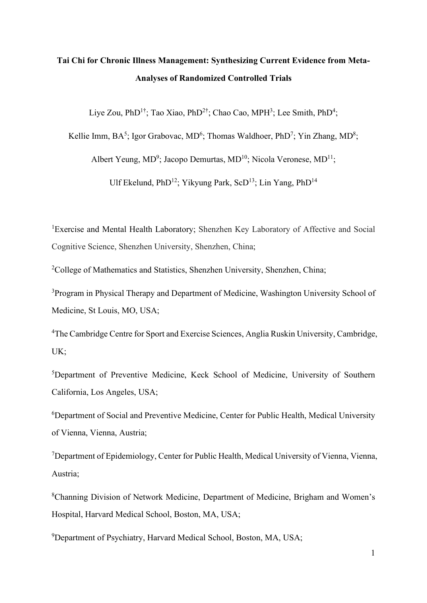# **Tai Chi for Chronic Illness Management: Synthesizing Current Evidence from Meta-Analyses of Randomized Controlled Trials**

Liye Zou, PhD<sup>1†</sup>; Tao Xiao, PhD<sup>2†</sup>; Chao Cao, MPH<sup>3</sup>; Lee Smith, PhD<sup>4</sup>;

Kellie Imm, BA<sup>5</sup>; Igor Grabovac, MD<sup>6</sup>; Thomas Waldhoer, PhD<sup>7</sup>; Yin Zhang, MD<sup>8</sup>;

Albert Yeung, MD<sup>9</sup>; Jacopo Demurtas, MD<sup>10</sup>; Nicola Veronese, MD<sup>11</sup>;

Ulf Ekelund, PhD<sup>12</sup>; Yikyung Park, ScD<sup>13</sup>; Lin Yang, PhD<sup>14</sup>

<sup>1</sup>Exercise and Mental Health Laboratory; Shenzhen Key Laboratory of Affective and Social Cognitive Science, Shenzhen University, Shenzhen, China;

<sup>2</sup>College of Mathematics and Statistics, Shenzhen University, Shenzhen, China;

<sup>3</sup>Program in Physical Therapy and Department of Medicine, Washington University School of Medicine, St Louis, MO, USA;

<sup>4</sup>The Cambridge Centre for Sport and Exercise Sciences, Anglia Ruskin University, Cambridge, UK;

5 Department of Preventive Medicine, Keck School of Medicine, University of Southern California, Los Angeles, USA;

<sup>6</sup>Department of Social and Preventive Medicine, Center for Public Health, Medical University of Vienna, Vienna, Austria;

<sup>7</sup>Department of Epidemiology, Center for Public Health, Medical University of Vienna, Vienna, Austria;

<sup>8</sup>Channing Division of Network Medicine, Department of Medicine, Brigham and Women's Hospital, Harvard Medical School, Boston, MA, USA;

<sup>9</sup>Department of Psychiatry, Harvard Medical School, Boston, MA, USA;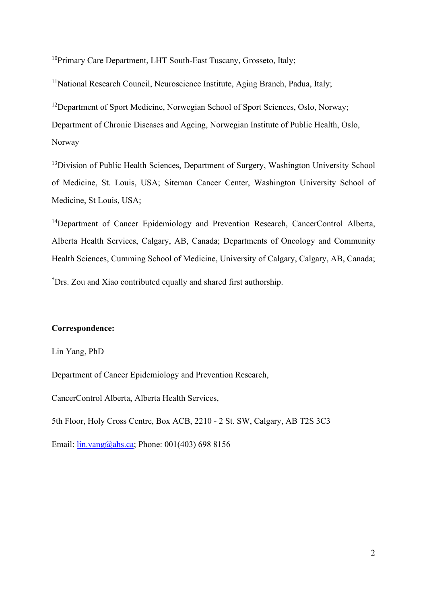<sup>10</sup>Primary Care Department, LHT South-East Tuscany, Grosseto, Italy;

<sup>11</sup>National Research Council, Neuroscience Institute, Aging Branch, Padua, Italy;

<sup>12</sup>Department of Sport Medicine, Norwegian School of Sport Sciences, Oslo, Norway; Department of Chronic Diseases and Ageing, Norwegian Institute of Public Health, Oslo, Norway

<sup>13</sup> Division of Public Health Sciences, Department of Surgery, Washington University School of Medicine, St. Louis, USA; Siteman Cancer Center, Washington University School of Medicine, St Louis, USA;

<sup>14</sup>Department of Cancer Epidemiology and Prevention Research, CancerControl Alberta, Alberta Health Services, Calgary, AB, Canada; Departments of Oncology and Community Health Sciences, Cumming School of Medicine, University of Calgary, Calgary, AB, Canada; † Drs. Zou and Xiao contributed equally and shared first authorship.

#### **Correspondence:**

Lin Yang, PhD

Department of Cancer Epidemiology and Prevention Research,

CancerControl Alberta, Alberta Health Services,

5th Floor, Holy Cross Centre, Box ACB, 2210 - 2 St. SW, Calgary, AB T2S 3C3

Email: [lin.yang@ahs.ca;](mailto:lin.yang@ahs.ca) Phone: 001(403) 698 8156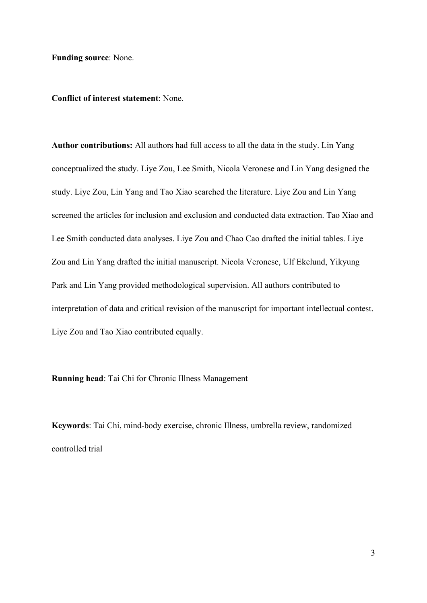**Funding source**: None.

**Conflict of interest statement**: None.

**Author contributions:** All authors had full access to all the data in the study. Lin Yang conceptualized the study. Liye Zou, Lee Smith, Nicola Veronese and Lin Yang designed the study. Liye Zou, Lin Yang and Tao Xiao searched the literature. Liye Zou and Lin Yang screened the articles for inclusion and exclusion and conducted data extraction. Tao Xiao and Lee Smith conducted data analyses. Liye Zou and Chao Cao drafted the initial tables. Liye Zou and Lin Yang drafted the initial manuscript. Nicola Veronese, Ulf Ekelund, Yikyung Park and Lin Yang provided methodological supervision. All authors contributed to interpretation of data and critical revision of the manuscript for important intellectual contest. Liye Zou and Tao Xiao contributed equally.

**Running head**: Tai Chi for Chronic Illness Management

**Keywords**: Tai Chi, mind-body exercise, chronic Illness, umbrella review, randomized controlled trial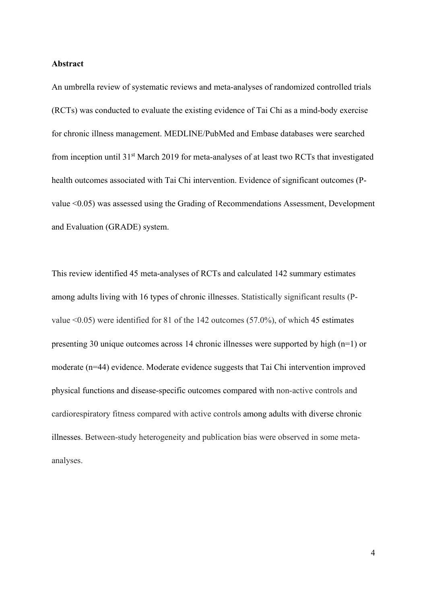#### **Abstract**

An umbrella review of systematic reviews and meta-analyses of randomized controlled trials (RCTs) was conducted to evaluate the existing evidence of Tai Chi as a mind-body exercise for chronic illness management. MEDLINE/PubMed and Embase databases were searched from inception until 31st March 2019 for meta-analyses of at least two RCTs that investigated health outcomes associated with Tai Chi intervention. Evidence of significant outcomes (Pvalue <0.05) was assessed using the Grading of Recommendations Assessment, Development and Evaluation (GRADE) system.

This review identified 45 meta-analyses of RCTs and calculated 142 summary estimates among adults living with 16 types of chronic illnesses. Statistically significant results (Pvalue <0.05) were identified for 81 of the 142 outcomes (57.0%), of which 45 estimates presenting 30 unique outcomes across 14 chronic illnesses were supported by high (n=1) or moderate (n=44) evidence. Moderate evidence suggests that Tai Chi intervention improved physical functions and disease-specific outcomes compared with non-active controls and cardiorespiratory fitness compared with active controls among adults with diverse chronic illnesses. Between-study heterogeneity and publication bias were observed in some metaanalyses.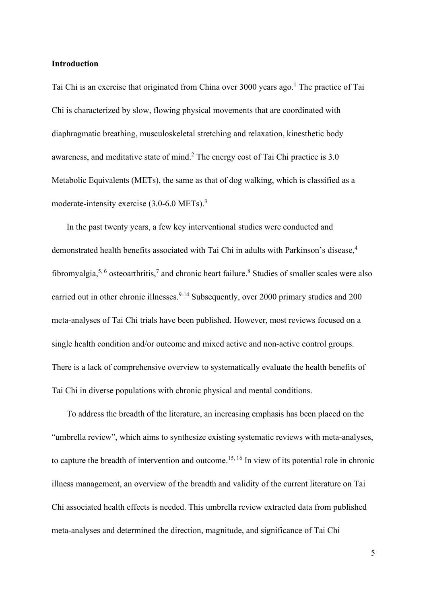#### **Introduction**

Tai Chi is an exercise that originated from China over 3000 years ago. <sup>1</sup> The practice of Tai Chi is characterized by slow, flowing physical movements that are coordinated with diaphragmatic breathing, musculoskeletal stretching and relaxation, kinesthetic body awareness, and meditative state of mind.2 The energy cost of Tai Chi practice is 3.0 Metabolic Equivalents (METs), the same as that of dog walking, which is classified as a moderate-intensity exercise (3.0-6.0 METs).<sup>3</sup>

In the past twenty years, a few key interventional studies were conducted and demonstrated health benefits associated with Tai Chi in adults with Parkinson's disease, 4 fibromyalgia,<sup>5, 6</sup> osteoarthritis,<sup>7</sup> and chronic heart failure.<sup>8</sup> Studies of smaller scales were also carried out in other chronic illnesses.<sup>9-14</sup> Subsequently, over 2000 primary studies and 200 meta-analyses of Tai Chi trials have been published. However, most reviews focused on a single health condition and/or outcome and mixed active and non-active control groups. There is a lack of comprehensive overview to systematically evaluate the health benefits of Tai Chi in diverse populations with chronic physical and mental conditions.

To address the breadth of the literature, an increasing emphasis has been placed on the "umbrella review", which aims to synthesize existing systematic reviews with meta-analyses, to capture the breadth of intervention and outcome.<sup>15, 16</sup> In view of its potential role in chronic illness management, an overview of the breadth and validity of the current literature on Tai Chi associated health effects is needed. This umbrella review extracted data from published meta-analyses and determined the direction, magnitude, and significance of Tai Chi

5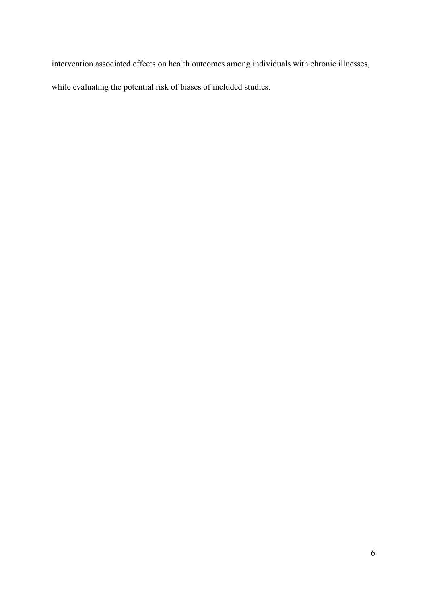intervention associated effects on health outcomes among individuals with chronic illnesses,

while evaluating the potential risk of biases of included studies.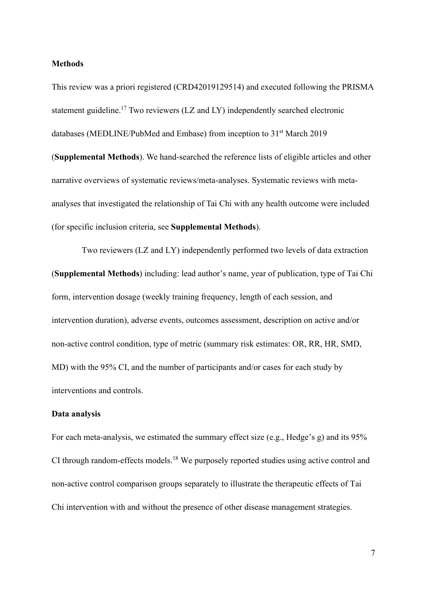#### **Methods**

This review was a priori registered (CRD42019129514) and executed following the PRISMA statement guideline.17 Two reviewers (LZ and LY) independently searched electronic databases (MEDLINE/PubMed and Embase) from inception to 31<sup>st</sup> March 2019 (**Supplemental Methods**). We hand-searched the reference lists of eligible articles and other narrative overviews of systematic reviews/meta-analyses. Systematic reviews with metaanalyses that investigated the relationship of Tai Chi with any health outcome were included (for specific inclusion criteria, see **Supplemental Methods**).

Two reviewers (LZ and LY) independently performed two levels of data extraction (**Supplemental Methods**) including: lead author's name, year of publication, type of Tai Chi form, intervention dosage (weekly training frequency, length of each session, and intervention duration), adverse events, outcomes assessment, description on active and/or non-active control condition, type of metric (summary risk estimates: OR, RR, HR, SMD, MD) with the 95% CI, and the number of participants and/or cases for each study by interventions and controls.

#### **Data analysis**

For each meta-analysis, we estimated the summary effect size (e.g., Hedge's g) and its 95% CI through random-effects models.<sup>18</sup> We purposely reported studies using active control and non-active control comparison groups separately to illustrate the therapeutic effects of Tai Chi intervention with and without the presence of other disease management strategies.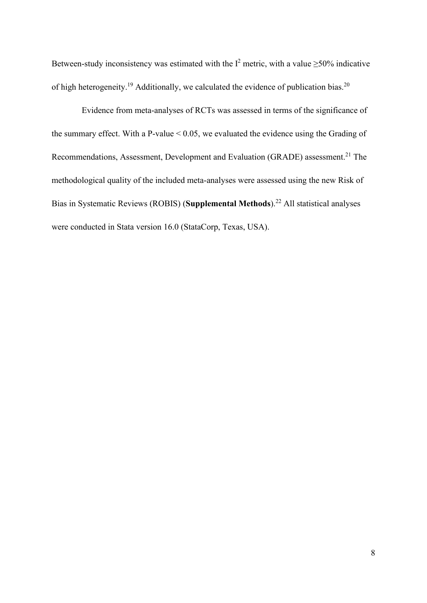Between-study inconsistency was estimated with the  $I^2$  metric, with a value  $\geq$ 50% indicative of high heterogeneity.<sup>19</sup> Additionally, we calculated the evidence of publication bias.<sup>20</sup>

Evidence from meta-analyses of RCTs was assessed in terms of the significance of the summary effect. With a P-value  $< 0.05$ , we evaluated the evidence using the Grading of Recommendations, Assessment, Development and Evaluation (GRADE) assessment.<sup>21</sup> The methodological quality of the included meta-analyses were assessed using the new Risk of Bias in Systematic Reviews (ROBIS) (**Supplemental Methods**).22 All statistical analyses were conducted in Stata version 16.0 (StataCorp, Texas, USA).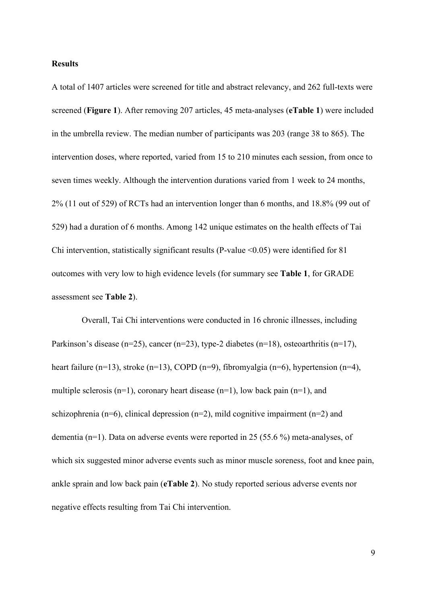#### **Results**

A total of 1407 articles were screened for title and abstract relevancy, and 262 full-texts were screened (**Figure 1**). After removing 207 articles, 45 meta-analyses (**eTable 1**) were included in the umbrella review. The median number of participants was 203 (range 38 to 865). The intervention doses, where reported, varied from 15 to 210 minutes each session, from once to seven times weekly. Although the intervention durations varied from 1 week to 24 months, 2% (11 out of 529) of RCTs had an intervention longer than 6 months, and 18.8% (99 out of 529) had a duration of 6 months. Among 142 unique estimates on the health effects of Tai Chi intervention, statistically significant results (P-value  $\leq 0.05$ ) were identified for 81 outcomes with very low to high evidence levels (for summary see **Table 1**, for GRADE assessment see **Table 2**).

Overall, Tai Chi interventions were conducted in 16 chronic illnesses, including Parkinson's disease (n=25), cancer (n=23), type-2 diabetes (n=18), osteoarthritis (n=17), heart failure (n=13), stroke (n=13), COPD (n=9), fibromyalgia (n=6), hypertension (n=4), multiple sclerosis (n=1), coronary heart disease (n=1), low back pain (n=1), and schizophrenia (n=6), clinical depression (n=2), mild cognitive impairment (n=2) and dementia (n=1). Data on adverse events were reported in 25 (55.6 %) meta-analyses, of which six suggested minor adverse events such as minor muscle soreness, foot and knee pain, ankle sprain and low back pain (**eTable 2**). No study reported serious adverse events nor negative effects resulting from Tai Chi intervention.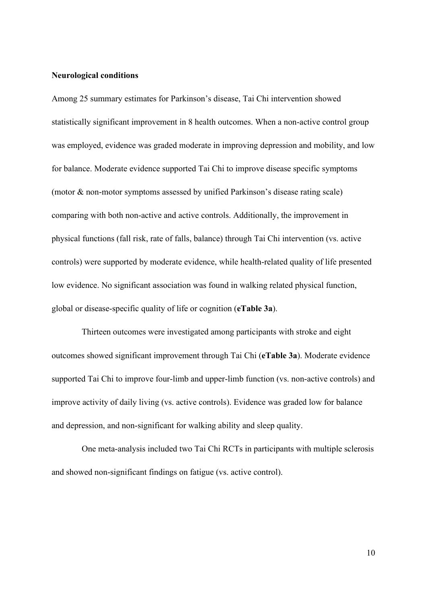#### **Neurological conditions**

Among 25 summary estimates for Parkinson's disease, Tai Chi intervention showed statistically significant improvement in 8 health outcomes. When a non-active control group was employed, evidence was graded moderate in improving depression and mobility, and low for balance. Moderate evidence supported Tai Chi to improve disease specific symptoms (motor & non-motor symptoms assessed by unified Parkinson's disease rating scale) comparing with both non-active and active controls. Additionally, the improvement in physical functions (fall risk, rate of falls, balance) through Tai Chi intervention (vs. active controls) were supported by moderate evidence, while health-related quality of life presented low evidence. No significant association was found in walking related physical function, global or disease-specific quality of life or cognition (**eTable 3a**).

Thirteen outcomes were investigated among participants with stroke and eight outcomes showed significant improvement through Tai Chi (**eTable 3a**). Moderate evidence supported Tai Chi to improve four-limb and upper-limb function (vs. non-active controls) and improve activity of daily living (vs. active controls). Evidence was graded low for balance and depression, and non-significant for walking ability and sleep quality.

One meta-analysis included two Tai Chi RCTs in participants with multiple sclerosis and showed non-significant findings on fatigue (vs. active control).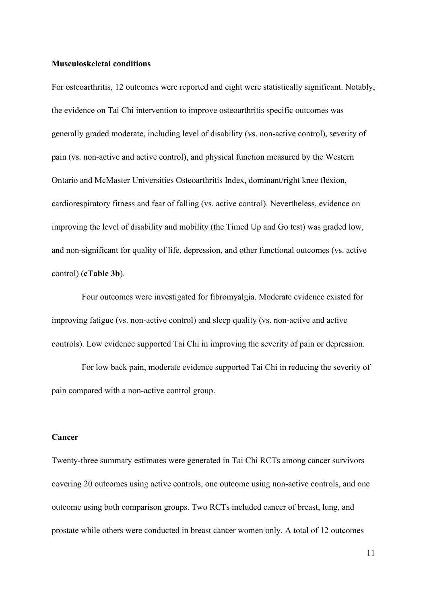#### **Musculoskeletal conditions**

For osteoarthritis, 12 outcomes were reported and eight were statistically significant. Notably, the evidence on Tai Chi intervention to improve osteoarthritis specific outcomes was generally graded moderate, including level of disability (vs. non-active control), severity of pain (vs. non-active and active control), and physical function measured by the Western Ontario and McMaster Universities Osteoarthritis Index, dominant/right knee flexion, cardiorespiratory fitness and fear of falling (vs. active control). Nevertheless, evidence on improving the level of disability and mobility (the Timed Up and Go test) was graded low, and non-significant for quality of life, depression, and other functional outcomes (vs. active control) (**eTable 3b**).

Four outcomes were investigated for fibromyalgia. Moderate evidence existed for improving fatigue (vs. non-active control) and sleep quality (vs. non-active and active controls). Low evidence supported Tai Chi in improving the severity of pain or depression.

For low back pain, moderate evidence supported Tai Chi in reducing the severity of pain compared with a non-active control group.

#### **Cancer**

Twenty-three summary estimates were generated in Tai Chi RCTs among cancer survivors covering 20 outcomes using active controls, one outcome using non-active controls, and one outcome using both comparison groups. Two RCTs included cancer of breast, lung, and prostate while others were conducted in breast cancer women only. A total of 12 outcomes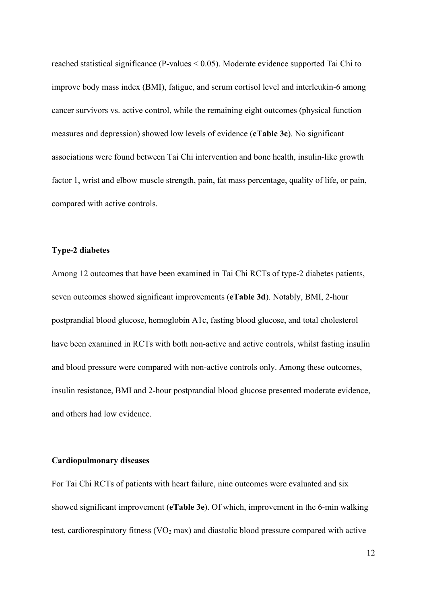reached statistical significance (P-values < 0.05). Moderate evidence supported Tai Chi to improve body mass index (BMI), fatigue, and serum cortisol level and interleukin-6 among cancer survivors vs. active control, while the remaining eight outcomes (physical function measures and depression) showed low levels of evidence (**eTable 3c**). No significant associations were found between Tai Chi intervention and bone health, insulin-like growth factor 1, wrist and elbow muscle strength, pain, fat mass percentage, quality of life, or pain, compared with active controls.

#### **Type-2 diabetes**

Among 12 outcomes that have been examined in Tai Chi RCTs of type-2 diabetes patients, seven outcomes showed significant improvements (**eTable 3d**). Notably, BMI, 2-hour postprandial blood glucose, hemoglobin A1c, fasting blood glucose, and total cholesterol have been examined in RCTs with both non-active and active controls, whilst fasting insulin and blood pressure were compared with non-active controls only. Among these outcomes, insulin resistance, BMI and 2-hour postprandial blood glucose presented moderate evidence, and others had low evidence.

#### **Cardiopulmonary diseases**

For Tai Chi RCTs of patients with heart failure, nine outcomes were evaluated and six showed significant improvement (**eTable 3e**). Of which, improvement in the 6-min walking test, cardiorespiratory fitness  $(VO<sub>2</sub> max)$  and diastolic blood pressure compared with active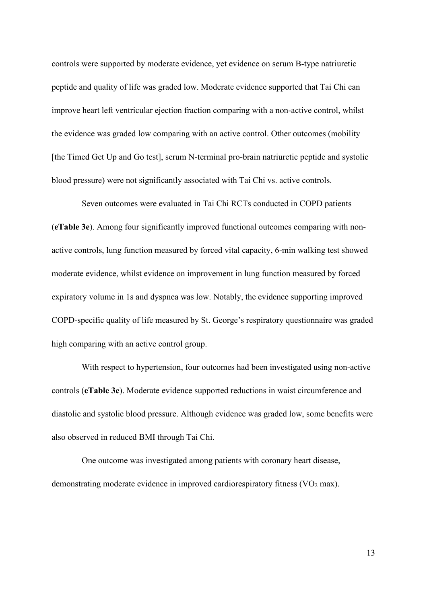controls were supported by moderate evidence, yet evidence on serum B-type natriuretic peptide and quality of life was graded low. Moderate evidence supported that Tai Chi can improve heart left ventricular ejection fraction comparing with a non-active control, whilst the evidence was graded low comparing with an active control. Other outcomes (mobility [the Timed Get Up and Go test], serum N-terminal pro-brain natriuretic peptide and systolic blood pressure) were not significantly associated with Tai Chi vs. active controls.

Seven outcomes were evaluated in Tai Chi RCTs conducted in COPD patients (**eTable 3e**). Among four significantly improved functional outcomes comparing with nonactive controls, lung function measured by forced vital capacity, 6-min walking test showed moderate evidence, whilst evidence on improvement in lung function measured by forced expiratory volume in 1s and dyspnea was low. Notably, the evidence supporting improved COPD-specific quality of life measured by St. George's respiratory questionnaire was graded high comparing with an active control group.

With respect to hypertension, four outcomes had been investigated using non-active controls (**eTable 3e**). Moderate evidence supported reductions in waist circumference and diastolic and systolic blood pressure. Although evidence was graded low, some benefits were also observed in reduced BMI through Tai Chi.

One outcome was investigated among patients with coronary heart disease, demonstrating moderate evidence in improved cardiorespiratory fitness  $(VO<sub>2</sub> max)$ .

13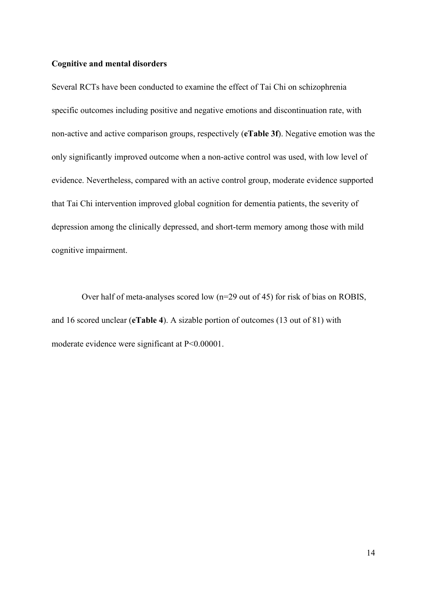#### **Cognitive and mental disorders**

Several RCTs have been conducted to examine the effect of Tai Chi on schizophrenia specific outcomes including positive and negative emotions and discontinuation rate, with non-active and active comparison groups, respectively (**eTable 3f**). Negative emotion was the only significantly improved outcome when a non-active control was used, with low level of evidence. Nevertheless, compared with an active control group, moderate evidence supported that Tai Chi intervention improved global cognition for dementia patients, the severity of depression among the clinically depressed, and short-term memory among those with mild cognitive impairment.

Over half of meta-analyses scored low (n=29 out of 45) for risk of bias on ROBIS, and 16 scored unclear (**eTable 4**). A sizable portion of outcomes (13 out of 81) with moderate evidence were significant at P<0.00001.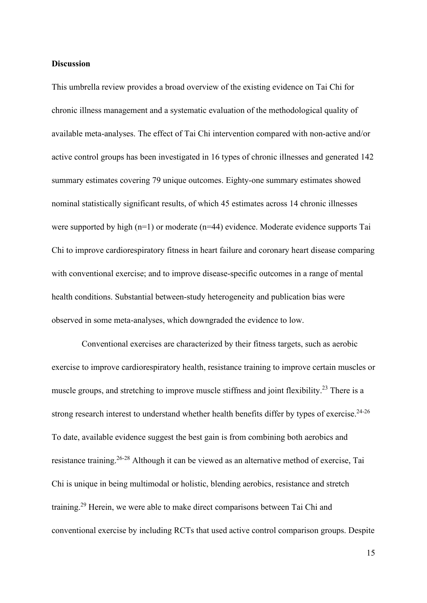### **Discussion**

This umbrella review provides a broad overview of the existing evidence on Tai Chi for chronic illness management and a systematic evaluation of the methodological quality of available meta-analyses. The effect of Tai Chi intervention compared with non-active and/or active control groups has been investigated in 16 types of chronic illnesses and generated 142 summary estimates covering 79 unique outcomes. Eighty-one summary estimates showed nominal statistically significant results, of which 45 estimates across 14 chronic illnesses were supported by high (n=1) or moderate (n=44) evidence. Moderate evidence supports Tai Chi to improve cardiorespiratory fitness in heart failure and coronary heart disease comparing with conventional exercise; and to improve disease-specific outcomes in a range of mental health conditions. Substantial between-study heterogeneity and publication bias were observed in some meta-analyses, which downgraded the evidence to low.

Conventional exercises are characterized by their fitness targets, such as aerobic exercise to improve cardiorespiratory health, resistance training to improve certain muscles or muscle groups, and stretching to improve muscle stiffness and joint flexibility.<sup>23</sup> There is a strong research interest to understand whether health benefits differ by types of exercise.<sup>24-26</sup> To date, available evidence suggest the best gain is from combining both aerobics and resistance training.<sup>26-28</sup> Although it can be viewed as an alternative method of exercise, Tai Chi is unique in being multimodal or holistic, blending aerobics, resistance and stretch training.<sup>29</sup> Herein, we were able to make direct comparisons between Tai Chi and conventional exercise by including RCTs that used active control comparison groups. Despite

15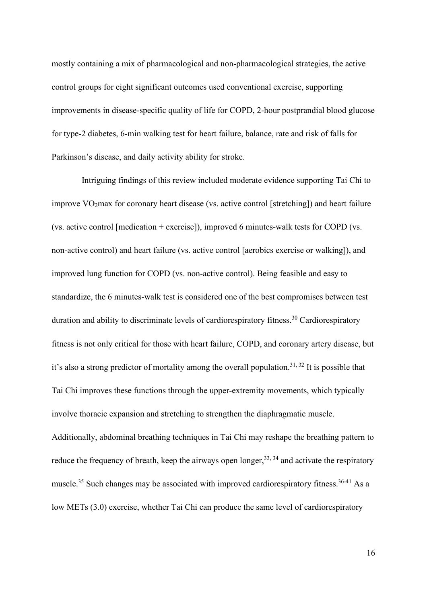mostly containing a mix of pharmacological and non-pharmacological strategies, the active control groups for eight significant outcomes used conventional exercise, supporting improvements in disease-specific quality of life for COPD, 2-hour postprandial blood glucose for type-2 diabetes, 6-min walking test for heart failure, balance, rate and risk of falls for Parkinson's disease, and daily activity ability for stroke.

Intriguing findings of this review included moderate evidence supporting Tai Chi to improve  $VO<sub>2</sub>max$  for coronary heart disease (vs. active control [stretching]) and heart failure (vs. active control [medication + exercise]), improved 6 minutes-walk tests for COPD (vs. non-active control) and heart failure (vs. active control [aerobics exercise or walking]), and improved lung function for COPD (vs. non-active control). Being feasible and easy to standardize, the 6 minutes-walk test is considered one of the best compromises between test duration and ability to discriminate levels of cardiorespiratory fitness.<sup>30</sup> Cardiorespiratory fitness is not only critical for those with heart failure, COPD, and coronary artery disease, but it's also a strong predictor of mortality among the overall population.<sup>31, 32</sup> It is possible that Tai Chi improves these functions through the upper-extremity movements, which typically involve thoracic expansion and stretching to strengthen the diaphragmatic muscle. Additionally, abdominal breathing techniques in Tai Chi may reshape the breathing pattern to reduce the frequency of breath, keep the airways open longer,<sup>33, 34</sup> and activate the respiratory muscle.<sup>35</sup> Such changes may be associated with improved cardiorespiratory fitness.<sup>36-41</sup> As a low METs (3.0) exercise, whether Tai Chi can produce the same level of cardiorespiratory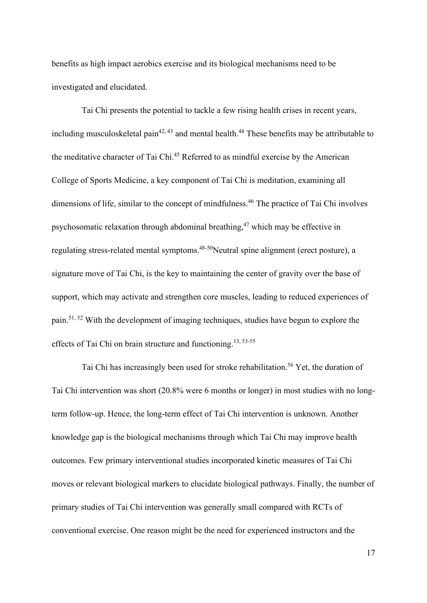benefits as high impact aerobics exercise and its biological mechanisms need to be investigated and elucidated.

Tai Chi presents the potential to tackle a few rising health crises in recent years, including musculoskeletal pain<sup>42, 43</sup> and mental health.<sup>44</sup> These benefits may be attributable to the meditative character of Tai Chi.<sup>45</sup> Referred to as mindful exercise by the American College of Sports Medicine, a key component of Tai Chi is meditation, examining all dimensions of life, similar to the concept of mindfulness.<sup>46</sup> The practice of Tai Chi involves psychosomatic relaxation through abdominal breathing,<sup>47</sup> which may be effective in regulating stress-related mental symptoms.<sup>48-50</sup>Neutral spine alignment (erect posture), a signature move of Tai Chi, is the key to maintaining the center of gravity over the base of support, which may activate and strengthen core muscles, leading to reduced experiences of pain.<sup>51, 52</sup> With the development of imaging techniques, studies have begun to explore the effects of Tai Chi on brain structure and functioning.<sup>13, 53-55</sup>

Tai Chi has increasingly been used for stroke rehabilitation.<sup>56</sup> Yet, the duration of Tai Chi intervention was short (20.8% were 6 months or longer) in most studies with no longterm follow-up. Hence, the long-term effect of Tai Chi intervention is unknown. Another knowledge gap is the biological mechanisms through which Tai Chi may improve health outcomes. Few primary interventional studies incorporated kinetic measures of Tai Chi moves or relevant biological markers to elucidate biological pathways. Finally, the number of primary studies of Tai Chi intervention was generally small compared with RCTs of conventional exercise. One reason might be the need for experienced instructors and the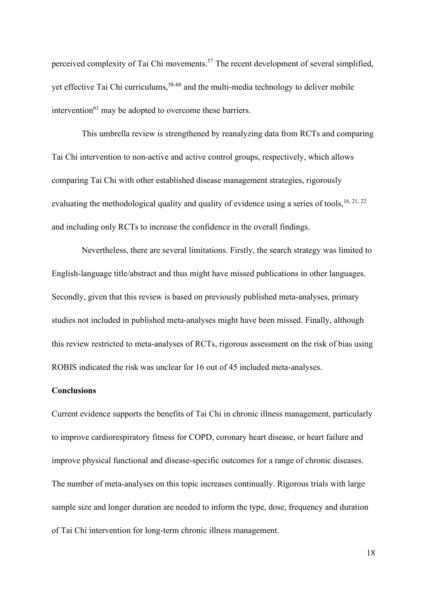perceived complexity of Tai Chi movements.<sup>57</sup> The recent development of several simplified, yet effective Tai Chi curriculums,<sup>58-60</sup> and the multi-media technology to deliver mobile intervention $^{61}$  may be adopted to overcome these barriers.

This umbrella review is strengthened by reanalyzing data from RCTs and comparing Tai Chi intervention to non-active and active control groups, respectively, which allows comparing Tai Chi with other established disease management strategies, rigorously evaluating the methodological quality and quality of evidence using a series of tools, <sup>16, 21, 22</sup> and including only RCTs to increase the confidence in the overall findings.

Nevertheless, there are several limitations. Firstly, the search strategy was limited to English-language title/abstract and thus might have missed publications in other languages. Secondly, given that this review is based on previously published meta-analyses, primary studies not included in published meta-analyses might have been missed. Finally, although this review restricted to meta-analyses of RCTs, rigorous assessment on the risk of bias using ROBIS indicated the risk was unclear for 16 out of 45 included meta-analyses.

#### **Conclusions**

Current evidence supports the benefits of Tai Chi in chronic illness management, particularly to improve cardiorespiratory fitness for COPD, coronary heart disease, or heart failure and improve physical functional and disease-specific outcomes for a range of chronic diseases. The number of meta-analyses on this topic increases continually. Rigorous trials with large sample size and longer duration are needed to inform the type, dose, frequency and duration of Tai Chi intervention for long-term chronic illness management.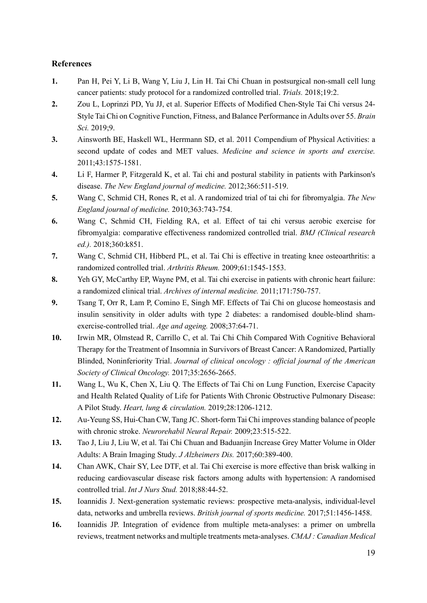## **References**

- **1.** Pan H, Pei Y, Li B, Wang Y, Liu J, Lin H. Tai Chi Chuan in postsurgical non-small cell lung cancer patients: study protocol for a randomized controlled trial. *Trials.* 2018;19:2.
- **2.** Zou L, Loprinzi PD, Yu JJ, et al. Superior Effects of Modified Chen-Style Tai Chi versus 24- Style Tai Chi on Cognitive Function, Fitness, and Balance Performance in Adults over 55. *Brain Sci.* 2019;9.
- **3.** Ainsworth BE, Haskell WL, Herrmann SD, et al. 2011 Compendium of Physical Activities: a second update of codes and MET values. *Medicine and science in sports and exercise.* 2011;43:1575-1581.
- **4.** Li F, Harmer P, Fitzgerald K, et al. Tai chi and postural stability in patients with Parkinson's disease. *The New England journal of medicine.* 2012;366:511-519.
- **5.** Wang C, Schmid CH, Rones R, et al. A randomized trial of tai chi for fibromyalgia. *The New England journal of medicine.* 2010;363:743-754.
- **6.** Wang C, Schmid CH, Fielding RA, et al. Effect of tai chi versus aerobic exercise for fibromyalgia: comparative effectiveness randomized controlled trial. *BMJ (Clinical research ed.).* 2018;360:k851.
- **7.** Wang C, Schmid CH, Hibberd PL, et al. Tai Chi is effective in treating knee osteoarthritis: a randomized controlled trial. *Arthritis Rheum.* 2009;61:1545-1553.
- **8.** Yeh GY, McCarthy EP, Wayne PM, et al. Tai chi exercise in patients with chronic heart failure: a randomized clinical trial. *Archives of internal medicine.* 2011;171:750-757.
- **9.** Tsang T, Orr R, Lam P, Comino E, Singh MF. Effects of Tai Chi on glucose homeostasis and insulin sensitivity in older adults with type 2 diabetes: a randomised double-blind shamexercise-controlled trial. *Age and ageing.* 2008;37:64-71.
- **10.** Irwin MR, Olmstead R, Carrillo C, et al. Tai Chi Chih Compared With Cognitive Behavioral Therapy for the Treatment of Insomnia in Survivors of Breast Cancer: A Randomized, Partially Blinded, Noninferiority Trial. *Journal of clinical oncology : official journal of the American Society of Clinical Oncology.* 2017;35:2656-2665.
- **11.** Wang L, Wu K, Chen X, Liu Q. The Effects of Tai Chi on Lung Function, Exercise Capacity and Health Related Quality of Life for Patients With Chronic Obstructive Pulmonary Disease: A Pilot Study. *Heart, lung & circulation.* 2019;28:1206-1212.
- **12.** Au-Yeung SS, Hui-Chan CW, Tang JC. Short-form Tai Chi improves standing balance of people with chronic stroke. *Neurorehabil Neural Repair.* 2009;23:515-522.
- **13.** Tao J, Liu J, Liu W, et al. Tai Chi Chuan and Baduanjin Increase Grey Matter Volume in Older Adults: A Brain Imaging Study. *J Alzheimers Dis.* 2017;60:389-400.
- **14.** Chan AWK, Chair SY, Lee DTF, et al. Tai Chi exercise is more effective than brisk walking in reducing cardiovascular disease risk factors among adults with hypertension: A randomised controlled trial. *Int J Nurs Stud.* 2018;88:44-52.
- **15.** Ioannidis J. Next-generation systematic reviews: prospective meta-analysis, individual-level data, networks and umbrella reviews. *British journal of sports medicine.* 2017;51:1456-1458.
- **16.** Ioannidis JP. Integration of evidence from multiple meta-analyses: a primer on umbrella reviews, treatment networks and multiple treatments meta-analyses. *CMAJ : Canadian Medical*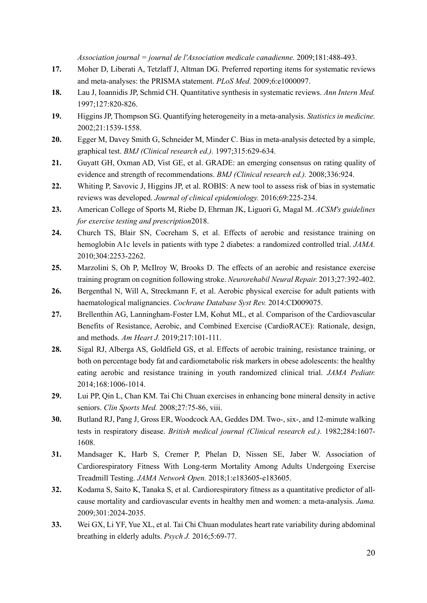*Association journal = journal de l'Association medicale canadienne.* 2009;181:488-493.

- **17.** Moher D, Liberati A, Tetzlaff J, Altman DG. Preferred reporting items for systematic reviews and meta-analyses: the PRISMA statement. *PLoS Med.* 2009;6:e1000097.
- **18.** Lau J, Ioannidis JP, Schmid CH. Quantitative synthesis in systematic reviews. *Ann Intern Med.* 1997;127:820-826.
- **19.** Higgins JP, Thompson SG. Quantifying heterogeneity in a meta-analysis. *Statistics in medicine.* 2002;21:1539-1558.
- **20.** Egger M, Davey Smith G, Schneider M, Minder C. Bias in meta-analysis detected by a simple, graphical test. *BMJ (Clinical research ed.).* 1997;315:629-634.
- **21.** Guyatt GH, Oxman AD, Vist GE, et al. GRADE: an emerging consensus on rating quality of evidence and strength of recommendations. *BMJ (Clinical research ed.).* 2008;336:924.
- **22.** Whiting P, Savovic J, Higgins JP, et al. ROBIS: A new tool to assess risk of bias in systematic reviews was developed. *Journal of clinical epidemiology.* 2016;69:225-234.
- **23.** American College of Sports M, Riebe D, Ehrman JK, Liguori G, Magal M. *ACSM's guidelines for exercise testing and prescription*2018.
- **24.** Church TS, Blair SN, Cocreham S, et al. Effects of aerobic and resistance training on hemoglobin A1c levels in patients with type 2 diabetes: a randomized controlled trial. *JAMA.* 2010;304:2253-2262.
- **25.** Marzolini S, Oh P, McIlroy W, Brooks D. The effects of an aerobic and resistance exercise training program on cognition following stroke. *Neurorehabil Neural Repair.* 2013;27:392-402.
- **26.** Bergenthal N, Will A, Streckmann F, et al. Aerobic physical exercise for adult patients with haematological malignancies. *Cochrane Database Syst Rev.* 2014:CD009075.
- **27.** Brellenthin AG, Lanningham-Foster LM, Kohut ML, et al. Comparison of the Cardiovascular Benefits of Resistance, Aerobic, and Combined Exercise (CardioRACE): Rationale, design, and methods. *Am Heart J.* 2019;217:101-111.
- **28.** Sigal RJ, Alberga AS, Goldfield GS, et al. Effects of aerobic training, resistance training, or both on percentage body fat and cardiometabolic risk markers in obese adolescents: the healthy eating aerobic and resistance training in youth randomized clinical trial. *JAMA Pediatr.* 2014;168:1006-1014.
- **29.** Lui PP, Qin L, Chan KM. Tai Chi Chuan exercises in enhancing bone mineral density in active seniors. *Clin Sports Med.* 2008;27:75-86, viii.
- **30.** Butland RJ, Pang J, Gross ER, Woodcock AA, Geddes DM. Two-, six-, and 12-minute walking tests in respiratory disease. *British medical journal (Clinical research ed.).* 1982;284:1607- 1608.
- **31.** Mandsager K, Harb S, Cremer P, Phelan D, Nissen SE, Jaber W. Association of Cardiorespiratory Fitness With Long-term Mortality Among Adults Undergoing Exercise Treadmill Testing. *JAMA Network Open.* 2018;1:e183605-e183605.
- **32.** Kodama S, Saito K, Tanaka S, et al. Cardiorespiratory fitness as a quantitative predictor of allcause mortality and cardiovascular events in healthy men and women: a meta-analysis. *Jama.* 2009;301:2024-2035.
- **33.** Wei GX, Li YF, Yue XL, et al. Tai Chi Chuan modulates heart rate variability during abdominal breathing in elderly adults. *Psych J.* 2016;5:69-77.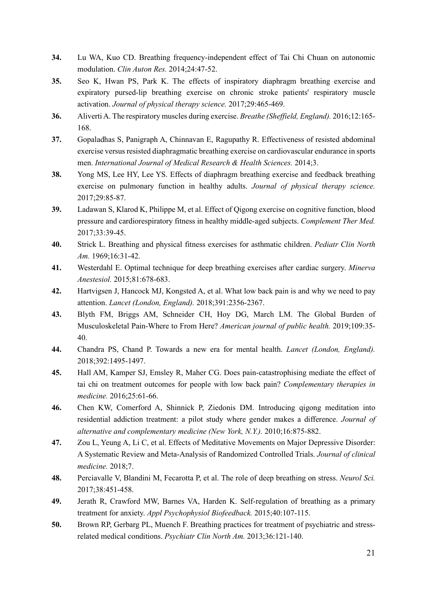- **34.** Lu WA, Kuo CD. Breathing frequency-independent effect of Tai Chi Chuan on autonomic modulation. *Clin Auton Res.* 2014;24:47-52.
- **35.** Seo K, Hwan PS, Park K. The effects of inspiratory diaphragm breathing exercise and expiratory pursed-lip breathing exercise on chronic stroke patients' respiratory muscle activation. *Journal of physical therapy science.* 2017;29:465-469.
- **36.** Aliverti A. The respiratory muscles during exercise. *Breathe (Sheffield, England).* 2016;12:165- 168.
- **37.** Gopaladhas S, Panigraph A, Chinnavan E, Ragupathy R. Effectiveness of resisted abdominal exercise versus resisted diaphragmatic breathing exercise on cardiovascular endurance in sports men. *International Journal of Medical Research & Health Sciences.* 2014;3.
- **38.** Yong MS, Lee HY, Lee YS. Effects of diaphragm breathing exercise and feedback breathing exercise on pulmonary function in healthy adults. *Journal of physical therapy science.* 2017;29:85-87.
- **39.** Ladawan S, Klarod K, Philippe M, et al. Effect of Qigong exercise on cognitive function, blood pressure and cardiorespiratory fitness in healthy middle-aged subjects. *Complement Ther Med.* 2017;33:39-45.
- **40.** Strick L. Breathing and physical fitness exercises for asthmatic children. *Pediatr Clin North Am.* 1969;16:31-42.
- **41.** Westerdahl E. Optimal technique for deep breathing exercises after cardiac surgery. *Minerva Anestesiol.* 2015;81:678-683.
- **42.** Hartvigsen J, Hancock MJ, Kongsted A, et al. What low back pain is and why we need to pay attention. *Lancet (London, England).* 2018;391:2356-2367.
- **43.** Blyth FM, Briggs AM, Schneider CH, Hoy DG, March LM. The Global Burden of Musculoskeletal Pain-Where to From Here? *American journal of public health.* 2019;109:35- 40.
- **44.** Chandra PS, Chand P. Towards a new era for mental health. *Lancet (London, England).* 2018;392:1495-1497.
- **45.** Hall AM, Kamper SJ, Emsley R, Maher CG. Does pain-catastrophising mediate the effect of tai chi on treatment outcomes for people with low back pain? *Complementary therapies in medicine.* 2016;25:61-66.
- **46.** Chen KW, Comerford A, Shinnick P, Ziedonis DM. Introducing qigong meditation into residential addiction treatment: a pilot study where gender makes a difference. *Journal of alternative and complementary medicine (New York, N.Y.).* 2010;16:875-882.
- **47.** Zou L, Yeung A, Li C, et al. Effects of Meditative Movements on Major Depressive Disorder: A Systematic Review and Meta-Analysis of Randomized Controlled Trials. *Journal of clinical medicine.* 2018;7.
- **48.** Perciavalle V, Blandini M, Fecarotta P, et al. The role of deep breathing on stress. *Neurol Sci.* 2017;38:451-458.
- **49.** Jerath R, Crawford MW, Barnes VA, Harden K. Self-regulation of breathing as a primary treatment for anxiety. *Appl Psychophysiol Biofeedback.* 2015;40:107-115.
- **50.** Brown RP, Gerbarg PL, Muench F. Breathing practices for treatment of psychiatric and stressrelated medical conditions. *Psychiatr Clin North Am.* 2013;36:121-140.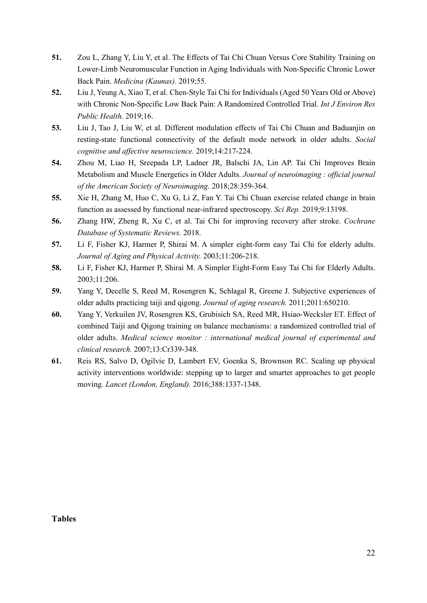- **51.** Zou L, Zhang Y, Liu Y, et al. The Effects of Tai Chi Chuan Versus Core Stability Training on Lower-Limb Neuromuscular Function in Aging Individuals with Non-Specific Chronic Lower Back Pain. *Medicina (Kaunas).* 2019;55.
- **52.** Liu J, Yeung A, Xiao T, et al. Chen-Style Tai Chi for Individuals (Aged 50 Years Old or Above) with Chronic Non-Specific Low Back Pain: A Randomized Controlled Trial. *Int J Environ Res Public Health.* 2019;16.
- **53.** Liu J, Tao J, Liu W, et al. Different modulation effects of Tai Chi Chuan and Baduanjin on resting-state functional connectivity of the default mode network in older adults. *Social cognitive and affective neuroscience.* 2019;14:217-224.
- **54.** Zhou M, Liao H, Sreepada LP, Ladner JR, Balschi JA, Lin AP. Tai Chi Improves Brain Metabolism and Muscle Energetics in Older Adults. *Journal of neuroimaging : official journal of the American Society of Neuroimaging.* 2018;28:359-364.
- **55.** Xie H, Zhang M, Huo C, Xu G, Li Z, Fan Y. Tai Chi Chuan exercise related change in brain function as assessed by functional near-infrared spectroscopy. *Sci Rep.* 2019;9:13198.
- **56.** Zhang HW, Zheng R, Xu C, et al. Tai Chi for improving recovery after stroke. *Cochrane Database of Systematic Reviews.* 2018.
- **57.** Li F, Fisher KJ, Harmer P, Shirai M. A simpler eight-form easy Tai Chi for elderly adults. *Journal of Aging and Physical Activity.* 2003;11:206-218.
- **58.** Li F, Fisher KJ, Harmer P, Shirai M. A Simpler Eight-Form Easy Tai Chi for Elderly Adults. 2003;11:206.
- **59.** Yang Y, Decelle S, Reed M, Rosengren K, Schlagal R, Greene J. Subjective experiences of older adults practicing taiji and qigong. *Journal of aging research.* 2011;2011:650210.
- **60.** Yang Y, Verkuilen JV, Rosengren KS, Grubisich SA, Reed MR, Hsiao-Wecksler ET. Effect of combined Taiji and Qigong training on balance mechanisms: a randomized controlled trial of older adults. *Medical science monitor : international medical journal of experimental and clinical research.* 2007;13:Cr339-348.
- **61.** Reis RS, Salvo D, Ogilvie D, Lambert EV, Goenka S, Brownson RC. Scaling up physical activity interventions worldwide: stepping up to larger and smarter approaches to get people moving. *Lancet (London, England).* 2016;388:1337-1348.

**Tables**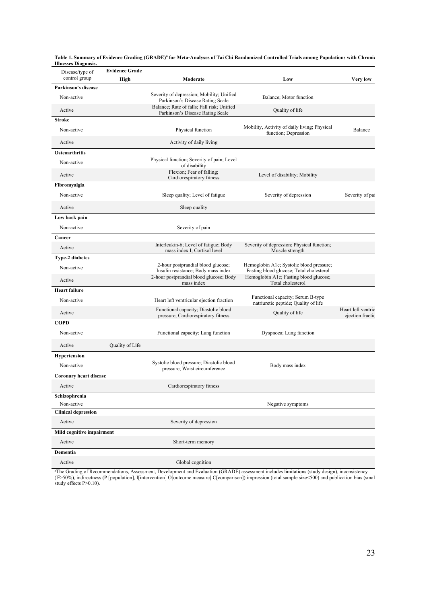| Disease/type of               | <b>Evidence Grade</b> |                                                                                |                                                                                      |                                        |
|-------------------------------|-----------------------|--------------------------------------------------------------------------------|--------------------------------------------------------------------------------------|----------------------------------------|
| control group                 | High                  | Moderate                                                                       | Low                                                                                  | Very low                               |
| Parkinson's disease           |                       |                                                                                |                                                                                      |                                        |
| Non-active                    |                       | Severity of depression; Mobility; Unified<br>Parkinson's Disease Rating Scale  | Balance; Motor function                                                              |                                        |
| Active                        |                       | Balance; Rate of falls; Fall risk; Unified<br>Parkinson's Disease Rating Scale | Quality of life                                                                      |                                        |
| <b>Stroke</b>                 |                       |                                                                                |                                                                                      |                                        |
| Non-active                    |                       | Physical function                                                              | Mobility, Activity of daily living; Physical<br>function; Depression                 | Balance                                |
| Active                        |                       | Activity of daily living                                                       |                                                                                      |                                        |
| <b>Osteoarthritis</b>         |                       |                                                                                |                                                                                      |                                        |
| Non-active                    |                       | Physical function; Severity of pain; Level<br>of disability                    |                                                                                      |                                        |
| Active                        |                       | Flexion; Fear of falling;<br>Cardiorespiratory fitness                         | Level of disability; Mobility                                                        |                                        |
| Fibromyalgia                  |                       |                                                                                |                                                                                      |                                        |
| Non-active                    |                       | Sleep quality; Level of fatigue                                                | Severity of depression                                                               | Severity of pai                        |
| Active                        |                       | Sleep quality                                                                  |                                                                                      |                                        |
| Low back pain                 |                       |                                                                                |                                                                                      |                                        |
| Non-active                    |                       | Severity of pain                                                               |                                                                                      |                                        |
| Cancer                        |                       |                                                                                |                                                                                      |                                        |
| Active                        |                       | Interleukin-6; Level of fatigue; Body<br>mass index I; Cortisol level          | Severity of depression; Physical function;<br>Muscle strength                        |                                        |
| <b>Type-2 diabetes</b>        |                       |                                                                                |                                                                                      |                                        |
| Non-active                    |                       | 2-hour postprandial blood glucose;<br>Insulin resistance; Body mass index      | Hemoglobin A1c; Systolic blood pressure;<br>Fasting blood glucose; Total cholesterol |                                        |
| Active                        |                       | 2-hour postprandial blood glucose; Body<br>mass index                          | Hemoglobin A1c; Fasting blood glucose;<br>Total cholesterol                          |                                        |
| <b>Heart failure</b>          |                       |                                                                                |                                                                                      |                                        |
| Non-active                    |                       | Heart left ventricular ejection fraction                                       | Functional capacity; Serum B-type<br>natriuretic peptide; Quality of life            |                                        |
| Active                        |                       | Functional capacity; Diastolic blood<br>pressure; Cardiorespiratory fitness    | Quality of life                                                                      | Heart left ventric<br>ejection fractic |
| <b>COPD</b>                   |                       |                                                                                |                                                                                      |                                        |
| Non-active                    |                       | Functional capacity; Lung function                                             | Dyspnoea; Lung function                                                              |                                        |
| Active                        | Quality of Life       |                                                                                |                                                                                      |                                        |
| Hypertension                  |                       |                                                                                |                                                                                      |                                        |
| Non-active                    |                       | Systolic blood pressure; Diastolic blood<br>pressure; Waist circumference      | Body mass index                                                                      |                                        |
| <b>Coronary heart disease</b> |                       |                                                                                |                                                                                      |                                        |
| Active                        |                       | Cardiorespiratory fitness                                                      |                                                                                      |                                        |
| Schizophrenia                 |                       |                                                                                |                                                                                      |                                        |
| Non-active                    |                       |                                                                                | Negative symptoms                                                                    |                                        |
| <b>Clinical depression</b>    |                       |                                                                                |                                                                                      |                                        |
| Active                        |                       | Severity of depression                                                         |                                                                                      |                                        |
| Mild cognitive impairment     |                       |                                                                                |                                                                                      |                                        |
| Active                        |                       | Short-term memory                                                              |                                                                                      |                                        |
| Dementia                      |                       |                                                                                |                                                                                      |                                        |
| Active                        |                       | Global cognition                                                               |                                                                                      |                                        |

**Table 1. Summary of Evidence Grading (GRADE)<sup>a</sup> for Meta-Analyses of Tai Chi Randomized Controlled Trials among Populations with Chronic Illnesses Diagnosis.**

aThe Grading of Recommendations, Assessment, Development and Evaluation (GRADE) assessment includes limitations (study design), inconsistency<br>(I<sup>2</sup>>50%), indirectness (P [population], I[intervention] O[outcome measure] C[c study effects P>0.10).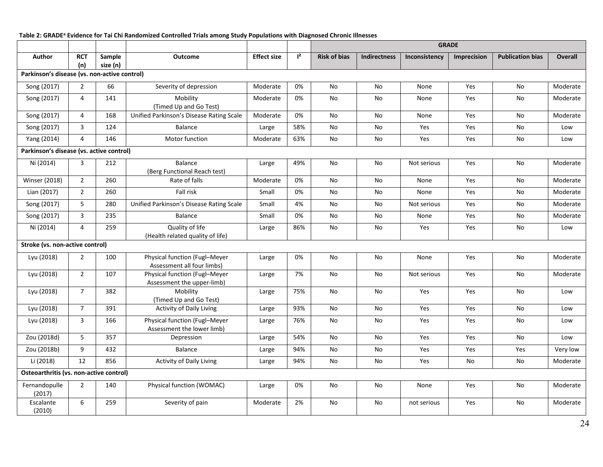#### **Table 2: GRADEa Evidence for Tai Chi Randomized Controlled Trials among Study Populations with Diagnosed Chronic Illnesses**

|                                              |                   |                    |                                                             |                    |                | <b>GRADE</b>        |                     |               |             |                         |          |
|----------------------------------------------|-------------------|--------------------|-------------------------------------------------------------|--------------------|----------------|---------------------|---------------------|---------------|-------------|-------------------------|----------|
| Author                                       | <b>RCT</b><br>(n) | Sample<br>size (n) | <b>Outcome</b>                                              | <b>Effect size</b> | $\mathsf{I}^2$ | <b>Risk of bias</b> | <b>Indirectness</b> | Inconsistency | Imprecision | <b>Publication bias</b> | Overall  |
| Parkinson's disease (vs. non-active control) |                   |                    |                                                             |                    |                |                     |                     |               |             |                         |          |
| Song (2017)                                  | 2                 | 66                 | Severity of depression                                      | Moderate           | 0%             | No                  | No                  | None          | Yes         | No                      | Moderate |
| Song (2017)                                  | $\overline{4}$    | 141                | Mobility<br>(Timed Up and Go Test)                          | Moderate           | 0%             | No                  | No                  | None          | Yes         | No                      | Moderate |
| Song (2017)                                  | 4                 | 168                | Unified Parkinson's Disease Rating Scale                    | Moderate           | 0%             | No                  | No                  | None          | Yes         | No                      | Moderate |
| Song (2017)                                  | 3                 | 124                | <b>Balance</b>                                              | Large              | 58%            | No                  | No                  | Yes           | Yes         | No                      | Low      |
| Yang (2014)                                  | $\overline{4}$    | 146                | Motor function                                              | Moderate           | 63%            | No                  | No                  | Yes           | Yes         | No                      | Low      |
| Parkinson's disease (vs. active control)     |                   |                    |                                                             |                    |                |                     |                     |               |             |                         |          |
| Ni (2014)                                    | 3                 | 212                | Balance<br>(Berg Functional Reach test)                     | Large              | 49%            | No                  | No                  | Not serious   | Yes         | No                      | Moderate |
| <b>Winser (2018)</b>                         | $\overline{2}$    | 260                | Rate of falls                                               | Moderate           | 0%             | No                  | No                  | None          | Yes         | No                      | Moderate |
| Lian (2017)                                  | $\overline{2}$    | 260                | Fall risk                                                   | Small              | 0%             | No                  | No                  | None          | Yes         | No                      | Moderate |
| Song (2017)                                  | 5                 | 280                | Unified Parkinson's Disease Rating Scale                    | Small              | 4%             | No                  | No                  | Not serious   | Yes         | No                      | Moderate |
| Song (2017)                                  | 3                 | 235                | <b>Balance</b>                                              | Small              | 0%             | No                  | No                  | None          | Yes         | No                      | Moderate |
| Ni (2014)                                    | 4                 | 259                | Quality of life<br>(Health related quality of life)         | Large              | 86%            | No                  | No                  | Yes           | Yes         | No                      | Low      |
| Stroke (vs. non-active control)              |                   |                    |                                                             |                    |                |                     |                     |               |             |                         |          |
| Lyu (2018)                                   | $\overline{2}$    | 100                | Physical function (Fugl-Meyer<br>Assessment all four limbs) | Large              | 0%             | No                  | No                  | None          | Yes         | No                      | Moderate |
| Lyu (2018)                                   | $\overline{2}$    | 107                | Physical function (Fugl-Meyer<br>Assessment the upper-limb) | Large              | 7%             | No                  | No                  | Not serious   | Yes         | No                      | Moderate |
| Lyu (2018)                                   | $\overline{7}$    | 382                | Mobility<br>(Timed Up and Go Test)                          | Large              | 75%            | No                  | No                  | Yes           | Yes         | No                      | Low      |
| Lyu (2018)                                   | $\overline{7}$    | 391                | <b>Activity of Daily Living</b>                             | Large              | 93%            | No                  | No                  | Yes           | Yes         | No                      | Low      |
| Lyu (2018)                                   | 3                 | 166                | Physical function (Fugl-Meyer<br>Assessment the lower limb) | Large              | 76%            | No                  | No                  | Yes           | Yes         | No                      | Low      |
| Zou (2018d)                                  | 5                 | 357                | Depression                                                  | Large              | 54%            | No                  | No                  | Yes           | Yes         | No                      | Low      |
| Zou (2018b)                                  | 9                 | 432                | Balance                                                     | Large              | 94%            | No                  | No                  | Yes           | Yes         | Yes                     | Very low |
| Li (2018)                                    | 12                | 856                | Activity of Daily Living                                    | Large              | 94%            | No                  | No                  | Yes           | No          | No                      | Moderate |
| Osteoarthritis (vs. non-active control)      |                   |                    |                                                             |                    |                |                     |                     |               |             |                         |          |
| Fernandopulle<br>(2017)                      | $\overline{2}$    | 140                | <b>Physical function (WOMAC)</b>                            | Large              | 0%             | No                  | No                  | None          | Yes         | No                      | Moderate |
| Escalante<br>(2010)                          | 6                 | 259                | Severity of pain                                            | Moderate           | 2%             | No                  | No                  | not serious   | Yes         | No                      | Moderate |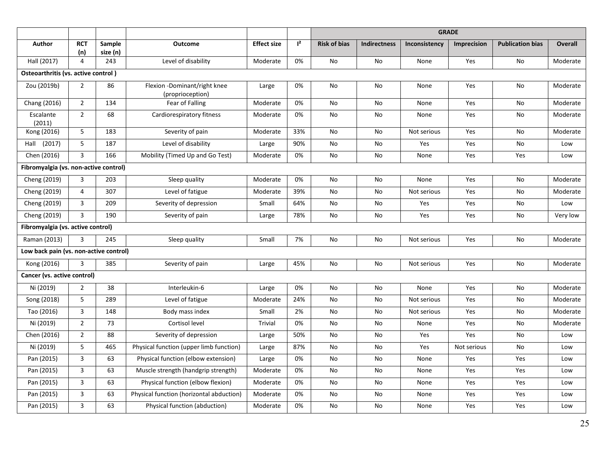|                                        |                   |                    |                                                  |                    |       | <b>GRADE</b>        |                     |               |                    |                         |                |
|----------------------------------------|-------------------|--------------------|--------------------------------------------------|--------------------|-------|---------------------|---------------------|---------------|--------------------|-------------------------|----------------|
| <b>Author</b>                          | <b>RCT</b><br>(n) | Sample<br>size (n) | <b>Outcome</b>                                   | <b>Effect size</b> | $1^2$ | <b>Risk of bias</b> | <b>Indirectness</b> | Inconsistency | <b>Imprecision</b> | <b>Publication bias</b> | <b>Overall</b> |
| Hall (2017)                            | $\overline{4}$    | 243                | Level of disability                              | Moderate           | 0%    | <b>No</b>           | No                  | None          | Yes                | No                      | Moderate       |
| Osteoarthritis (vs. active control)    |                   |                    |                                                  |                    |       |                     |                     |               |                    |                         |                |
| Zou (2019b)                            | $\overline{2}$    | 86                 | Flexion -Dominant/right knee<br>(proprioception) | Large              | 0%    | No                  | No                  | None          | Yes                | No                      | Moderate       |
| Chang (2016)                           | $\overline{2}$    | 134                | Fear of Falling                                  | Moderate           | 0%    | <b>No</b>           | No                  | None          | Yes                | <b>No</b>               | Moderate       |
| Escalante<br>(2011)                    | $\overline{2}$    | 68                 | Cardiorespiratory fitness                        | Moderate           | 0%    | No                  | No                  | None          | Yes                | No                      | Moderate       |
| Kong (2016)                            | 5                 | 183                | Severity of pain                                 | Moderate           | 33%   | <b>No</b>           | No                  | Not serious   | Yes                | No                      | Moderate       |
| (2017)<br>Hall                         | 5                 | 187                | Level of disability                              | Large              | 90%   | No                  | No                  | Yes           | Yes                | No                      | Low            |
| Chen (2016)                            | 3                 | 166                | Mobility (Timed Up and Go Test)                  | Moderate           | 0%    | No                  | No                  | None          | Yes                | Yes                     | Low            |
| Fibromyalgia (vs. non-active control)  |                   |                    |                                                  |                    |       |                     |                     |               |                    |                         |                |
| Cheng (2019)                           | 3                 | 203                | Sleep quality                                    | Moderate           | 0%    | No                  | No                  | None          | Yes                | No                      | Moderate       |
| Cheng (2019)                           | 4                 | 307                | Level of fatigue                                 | Moderate           | 39%   | No                  | No                  | Not serious   | Yes                | No                      | Moderate       |
| Cheng (2019)                           | 3                 | 209                | Severity of depression                           | Small              | 64%   | No                  | No                  | Yes           | Yes                | No                      | Low            |
| Cheng (2019)                           | 3                 | 190                | Severity of pain                                 | Large              | 78%   | No                  | No                  | Yes           | Yes                | No                      | Very low       |
| Fibromyalgia (vs. active control)      |                   |                    |                                                  |                    |       |                     |                     |               |                    |                         |                |
| Raman (2013)                           | 3                 | 245                | Sleep quality                                    | Small              | 7%    | No                  | No                  | Not serious   | Yes                | No                      | Moderate       |
| Low back pain (vs. non-active control) |                   |                    |                                                  |                    |       |                     |                     |               |                    |                         |                |
| Kong (2016)                            | $\overline{3}$    | 385                | Severity of pain                                 | Large              | 45%   | No                  | No                  | Not serious   | Yes                | No                      | Moderate       |
| Cancer (vs. active control)            |                   |                    |                                                  |                    |       |                     |                     |               |                    |                         |                |
| Ni (2019)                              | $\overline{2}$    | 38                 | Interleukin-6                                    | Large              | 0%    | No                  | No                  | None          | Yes                | No                      | Moderate       |
| Song (2018)                            | 5                 | 289                | Level of fatigue                                 | Moderate           | 24%   | No                  | No                  | Not serious   | Yes                | No                      | Moderate       |
| Tao (2016)                             | 3                 | 148                | Body mass index                                  | Small              | 2%    | <b>No</b>           | No                  | Not serious   | Yes                | No                      | Moderate       |
| Ni (2019)                              | $\overline{2}$    | 73                 | Cortisol level                                   | <b>Trivial</b>     | 0%    | No                  | No                  | None          | Yes                | No                      | Moderate       |
| Chen (2016)                            | $\overline{2}$    | 88                 | Severity of depression                           | Large              | 50%   | No                  | No                  | Yes           | Yes                | No                      | Low            |
| Ni (2019)                              | 5                 | 465                | Physical function (upper limb function)          | Large              | 87%   | No                  | No                  | Yes           | Not serious        | No                      | Low            |
| Pan (2015)                             | 3                 | 63                 | Physical function (elbow extension)              | Large              | 0%    | No                  | No                  | None          | Yes                | Yes                     | Low            |
| Pan (2015)                             | 3                 | 63                 | Muscle strength (handgrip strength)              | Moderate           | 0%    | No                  | No                  | None          | Yes                | Yes                     | Low            |
| Pan (2015)                             | $\overline{3}$    | 63                 | Physical function (elbow flexion)                | Moderate           | 0%    | No                  | No                  | None          | Yes                | Yes                     | Low            |
| Pan (2015)                             | 3                 | 63                 | Physical function (horizontal abduction)         | Moderate           | 0%    | No                  | No                  | None          | Yes                | Yes                     | Low            |
| Pan (2015)                             | 3                 | 63                 | Physical function (abduction)                    | Moderate           | 0%    | No                  | No                  | None          | Yes                | Yes                     | Low            |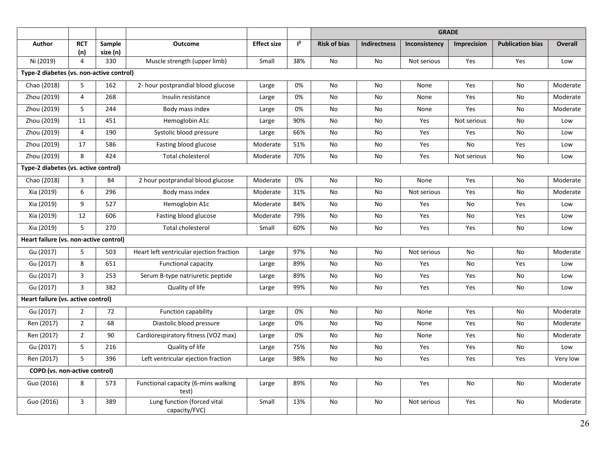|                                          |                   |                    |                                              |                    |                | <b>GRADE</b>        |                     |               |                    |                         |                |
|------------------------------------------|-------------------|--------------------|----------------------------------------------|--------------------|----------------|---------------------|---------------------|---------------|--------------------|-------------------------|----------------|
| Author                                   | <b>RCT</b><br>(n) | Sample<br>size (n) | <b>Outcome</b>                               | <b>Effect size</b> | $\mathsf{I}^2$ | <b>Risk of bias</b> | <b>Indirectness</b> | Inconsistency | <b>Imprecision</b> | <b>Publication bias</b> | <b>Overall</b> |
| Ni (2019)                                | 4                 | 330                | Muscle strength (upper limb)                 | Small              | 38%            | No                  | No                  | Not serious   | Yes                | Yes                     | Low            |
| Type-2 diabetes (vs. non-active control) |                   |                    |                                              |                    |                |                     |                     |               |                    |                         |                |
| Chao (2018)                              | 5                 | 162                | 2- hour postprandial blood glucose           | Large              | 0%             | No                  | No                  | None          | Yes                | No                      | Moderate       |
| Zhou (2019)                              | 4                 | 268                | Insulin resistance                           | Large              | 0%             | No                  | No                  | None          | Yes                | No                      | Moderate       |
| Zhou (2019)                              | 5                 | 244                | Body mass index                              | Large              | 0%             | No                  | No                  | None          | Yes                | No                      | Moderate       |
| Zhou (2019)                              | 11                | 451                | Hemoglobin A1c                               | Large              | 90%            | No                  | No                  | Yes           | Not serious        | No                      | Low            |
| Zhou (2019)                              | 4                 | 190                | Systolic blood pressure                      | Large              | 66%            | No                  | No                  | Yes           | Yes                | No                      | Low            |
| Zhou (2019)                              | 17                | 586                | Fasting blood glucose                        | Moderate           | 51%            | No                  | No                  | Yes           | No                 | Yes                     | Low            |
| Zhou (2019)                              | 8                 | 424                | Total cholesterol                            | Moderate           | 70%            | No                  | No                  | Yes           | Not serious        | No                      | Low            |
| Type-2 diabetes (vs. active control)     |                   |                    |                                              |                    |                |                     |                     |               |                    |                         |                |
| Chao (2018)                              | 3                 | 84                 | 2 hour postprandial blood glucose            | Moderate           | 0%             | No                  | No                  | None          | Yes                | No                      | Moderate       |
| Xia (2019)                               | 6                 | 296                | Body mass index                              | Moderate           | 31%            | No                  | No                  | Not serious   | Yes                | No                      | Moderate       |
| Xia (2019)                               | 9                 | 527                | Hemoglobin A1c                               | Moderate           | 84%            | No                  | No                  | Yes           | No                 | Yes                     | Low            |
| Xia (2019)                               | 12                | 606                | Fasting blood glucose                        | Moderate           | 79%            | No                  | No                  | Yes           | No                 | Yes                     | Low            |
| Xia (2019)                               | 5                 | 270                | Total cholesterol                            | Small              | 60%            | No                  | No                  | Yes           | Yes                | No                      | Low            |
| Heart failure (vs. non-active control)   |                   |                    |                                              |                    |                |                     |                     |               |                    |                         |                |
| Gu (2017)                                | 5                 | 503                | Heart left ventricular ejection fraction     | Large              | 97%            | No                  | <b>No</b>           | Not serious   | No                 | No                      | Moderate       |
| Gu (2017)                                | 8                 | 651                | <b>Functional capacity</b>                   | Large              | 89%            | <b>No</b>           | No                  | Yes           | No                 | Yes                     | Low            |
| Gu (2017)                                | 3                 | 253                | Serum B-type natriuretic peptide             | Large              | 89%            | No                  | No                  | Yes           | Yes                | No                      | Low            |
| Gu (2017)                                | 3                 | 382                | Quality of life                              | Large              | 99%            | No                  | No                  | Yes           | Yes                | No                      | Low            |
| Heart failure (vs. active control)       |                   |                    |                                              |                    |                |                     |                     |               |                    |                         |                |
| Gu (2017)                                | $\overline{2}$    | 72                 | <b>Function capability</b>                   | Large              | 0%             | <b>No</b>           | No                  | None          | Yes                | No                      | Moderate       |
| Ren (2017)                               | $\overline{2}$    | 68                 | Diastolic blood pressure                     | Large              | 0%             | No                  | No                  | None          | Yes                | No                      | Moderate       |
| Ren (2017)                               | $\overline{2}$    | 90                 | Cardiorespiratory fitness (VO2 max)          | Large              | 0%             | No                  | No                  | None          | Yes                | No                      | Moderate       |
| Gu (2017)                                | 5                 | 216                | Quality of life                              | Large              | 75%            | No                  | No                  | Yes           | Yes                | No                      | Low            |
| Ren (2017)                               | 5                 | 396                | Left ventricular ejection fraction           | Large              | 98%            | No                  | No                  | Yes           | Yes                | Yes                     | Very low       |
| <b>COPD</b> (vs. non-active control)     |                   |                    |                                              |                    |                |                     |                     |               |                    |                         |                |
| Guo (2016)                               | 8                 | 573                | Functional capacity (6-mins walking<br>test) | Large              | 89%            | No                  | No                  | Yes           | No                 | No                      | Moderate       |
| Guo (2016)                               | 3                 | 389                | Lung function (forced vital<br>capacity/FVC) | Small              | 13%            | <b>No</b>           | <b>No</b>           | Not serious   | Yes                | No                      | Moderate       |